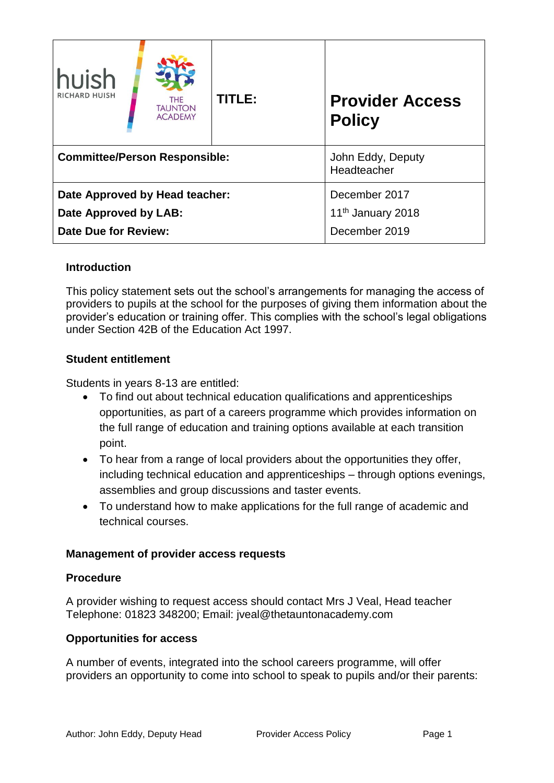| huish<br><b>RICHARD HUISH</b>                                                   | <b>THE</b><br><b>TAUNTON</b><br><b>ACADEMY</b> | TITLE: | <b>Provider Access</b><br><b>Policy</b>                         |
|---------------------------------------------------------------------------------|------------------------------------------------|--------|-----------------------------------------------------------------|
| <b>Committee/Person Responsible:</b>                                            |                                                |        | John Eddy, Deputy<br>Headteacher                                |
| Date Approved by Head teacher:<br>Date Approved by LAB:<br>Date Due for Review: |                                                |        | December 2017<br>11 <sup>th</sup> January 2018<br>December 2019 |

# **Introduction**

This policy statement sets out the school's arrangements for managing the access of providers to pupils at the school for the purposes of giving them information about the provider's education or training offer. This complies with the school's legal obligations under Section 42B of the Education Act 1997.

# **Student entitlement**

Students in years 8-13 are entitled:

- To find out about technical education qualifications and apprenticeships opportunities, as part of a careers programme which provides information on the full range of education and training options available at each transition point.
- To hear from a range of local providers about the opportunities they offer, including technical education and apprenticeships – through options evenings, assemblies and group discussions and taster events.
- To understand how to make applications for the full range of academic and technical courses.

# **Management of provider access requests**

### **Procedure**

A provider wishing to request access should contact Mrs J Veal, Head teacher Telephone: 01823 348200; Email: jveal@thetauntonacademy.com

### **Opportunities for access**

A number of events, integrated into the school careers programme, will offer providers an opportunity to come into school to speak to pupils and/or their parents: